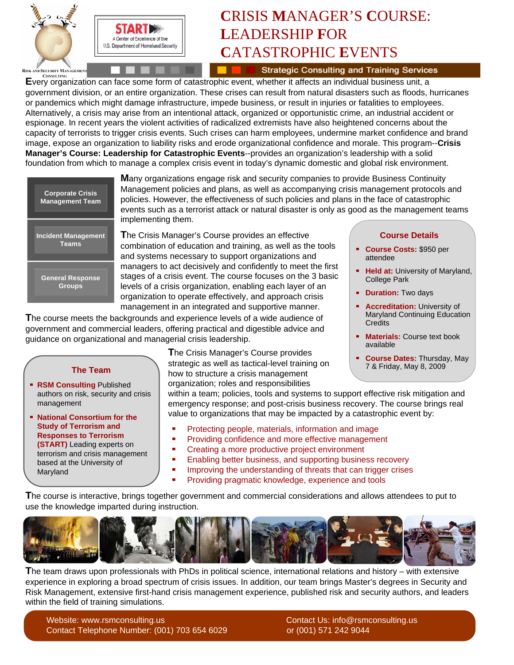

# **C**RISIS **M**ANAGER'S **C**OURSE: **L**EADERSHIP **F**OR **C**ATASTROPHIC **E**VENTS

**Strategic Consulting and Training Services** 

**EVERT CONSULTING**<br>Every organization can face some form of catastrophic event, whether it affects an individual business unit, a government division, or an entire organization. These crises can result from natural disasters such as floods, hurricanes or pandemics which might damage infrastructure, impede business, or result in injuries or fatalities to employees. Alternatively, a crisis may arise from an intentional attack, organized or opportunistic crime, an industrial accident or espionage. In recent years the violent activities of radicalized extremists have also heightened concerns about the capacity of terrorists to trigger crisis events. Such crises can harm employees, undermine market confidence and brand image, expose an organization to liability risks and erode organizational confidence and morale. This program--**Crisis Manager's Course: Leadership for Catastrophic Events**--provides an organization's leadership with a solid foundation from which to manage a complex crisis event in today's dynamic domestic and global risk environment.



**The Team**

**RSM Consulting Published** authors on risk, security and crisis

**National Consortium for the Study of Terrorism and Responses to Terrorism (START)** Leading experts on terrorism and crisis management based at the University of

management

Maryland

**M**any organizations engage risk and security companies to provide Business Continuity Management policies and plans, as well as accompanying crisis management protocols and policies. However, the effectiveness of such policies and plans in the face of catastrophic events such as a terrorist attack or natural disaster is only as good as the management teams implementing them.

**T**he Crisis Manager's Course provides an effective combination of education and training, as well as the tools and systems necessary to support organizations and managers to act decisively and confidently to meet the first stages of a crisis event. The course focuses on the 3 basic levels of a crisis organization, enabling each layer of an organization to operate effectively, and approach crisis management in an integrated and supportive manner.

**T**he course meets the backgrounds and experience levels of a wide audience of government and commercial leaders, offering practical and digestible advice and guidance on organizational and managerial crisis leadership.

**T**he Crisis Manager's Course provides strategic as well as tactical-level training on how to structure a crisis management organization; roles and responsibilities

within a team; policies, tools and systems to support effective risk mitigation and emergency response; and post-crisis business recovery. The course brings real value to organizations that may be impacted by a catastrophic event by:

- Protecting people, materials, information and image
- ň. Providing confidence and more effective management
- ä, Creating a more productive project environment
- Enabling better business, and supporting business recovery  $\blacksquare$
- $\blacksquare$ Improving the understanding of threats that can trigger crises
	- Providing pragmatic knowledge, experience and tools

**T**he course is interactive, brings together government and commercial considerations and allows attendees to put to use the knowledge imparted during instruction.



**T**he team draws upon professionals with PhDs in political science, international relations and history – with extensive experience in exploring a broad spectrum of crisis issues. In addition, our team brings Master's degrees in Security and Risk Management, extensive first-hand crisis management experience, published risk and security authors, and leaders within the field of training simulations.

Website: www.rsmconsulting.us contact Us: info@rsmconsulting.us Contact Us: info@rsmconsulting.us Contact Telephone Number: (001) 703 654 6029 or (001) 571 242 9044

#### **Course Details**

- **Course Costs:** \$950 per attendee
- a. **Held at:** University of Maryland, College Park
- **Duration:** Two days
- **Accreditation: University of** Maryland Continuing Education **Credits**
- **Materials:** Course text book available
- **Course Dates:** Thursday, May 7 & Friday, May 8, 2009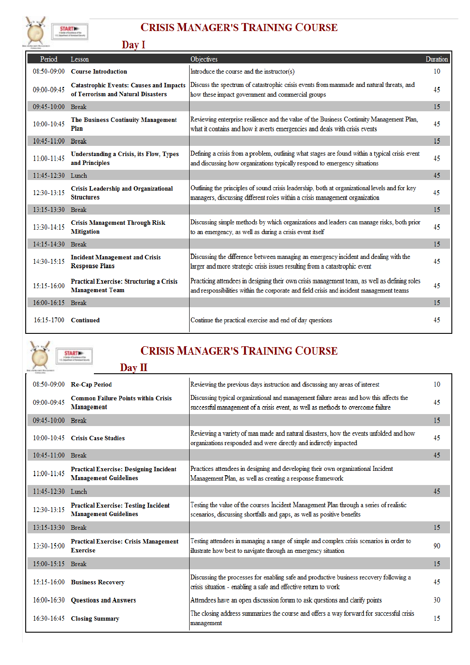

## **CRISIS MANAGER'S TRAINING COURSE**

|                   | Day 1                                                                                |                                                                                                                                                                                           |          |
|-------------------|--------------------------------------------------------------------------------------|-------------------------------------------------------------------------------------------------------------------------------------------------------------------------------------------|----------|
| Period            | Lesson                                                                               | Objectives                                                                                                                                                                                | Duration |
| 08:50-09:00       | <b>Course Introduction</b>                                                           | Introduce the course and the instructor(s)                                                                                                                                                | 10       |
| 09:00-09:45       | <b>Catastrophic Events: Causes and Impacts</b><br>of Terrorism and Natural Disasters | Discuss the spectrum of catastrophic crisis events from manmade and natural threats, and<br>how these impact government and commercial groups                                             | 45       |
| $09:45 - 10:00$   | <b>Break</b>                                                                         |                                                                                                                                                                                           | 15       |
| 10:00-10:45       | The Business Continuity Management<br>Plan                                           | Reviewing enterprise resilience and the value of the Business Continuity Management Plan,<br>what it contains and how it averts emergencies and deals with crisis events                  | 45       |
| 10:45-11:00 Break |                                                                                      |                                                                                                                                                                                           | 15       |
| 11:00-11:45       | <b>Understanding a Crisis, its Flow, Types</b><br>and Principles                     | Defining a crisis from a problem, outlining what stages are found within a typical crisis event<br>and discussing how organizations typically respond to emergency situations             | 45       |
| 11:45-12:30 Lunch |                                                                                      |                                                                                                                                                                                           | 45       |
| 12:30-13:15       | <b>Crisis Leadership and Organizational</b><br><b>Structures</b>                     | Outlining the principles of sound crisis leadership, both at organizational levels and for key<br>managers, discussing different roles within a crisis management organization            | 45       |
| 13:15-13:30 Break |                                                                                      |                                                                                                                                                                                           | 15       |
| 13:30-14:15       | <b>Crisis Management Through Risk</b><br><b>Mitigation</b>                           | Discussing simple methods by which organizations and leaders can manage risks, both prior<br>to an emergency, as well as during a crisis event itself                                     | 45       |
| 14:15-14:30       | Break                                                                                |                                                                                                                                                                                           | 15       |
| 14:30-15:15       | <b>Incident Management and Crisis</b><br><b>Response Plans</b>                       | Discussing the difference between managing an emergency incident and dealing with the<br>larger and more strategic crisis issues resulting from a catastrophic event                      | 45       |
| 15:15-16:00       | <b>Practical Exercise: Structuring a Crisis</b><br><b>Management Team</b>            | Practicing attendees in designing their own crisis management team, as well as defining roles<br>and responsibilities within the corporate and field crisis and incident management teams | 45       |
| 16:00-16:15 Break |                                                                                      |                                                                                                                                                                                           | 15       |
| 16:15:1700        | <b>Continued</b>                                                                     | Continue the practical exercise and end of day questions                                                                                                                                  | 45       |



# **CRISIS MANAGER'S TRAINING COURSE**

|                   | Day II                                                                        |                                                                                                                                                                            |    |
|-------------------|-------------------------------------------------------------------------------|----------------------------------------------------------------------------------------------------------------------------------------------------------------------------|----|
| 08:50-09:00       | <b>Re-Cap Period</b>                                                          | Reviewing the previous days instruction and discussing any areas of interest                                                                                               | 10 |
| $09:00-09:45$     | <b>Common Failure Points within Crisis</b><br>Management                      | Discussing typical organizational and management failure areas and how this affects the<br>successful management of a crisis event, as well as methods to overcome failure | 45 |
| 09:45-10:00 Break |                                                                               |                                                                                                                                                                            | 15 |
|                   | 10:00-10:45 Crisis Case Studies                                               | Reviewing a variety of man made and natural disasters, how the events unfolded and how<br>organizations responded and were directly and indirectly impacted                | 45 |
| 10:45-11:00 Break |                                                                               |                                                                                                                                                                            | 45 |
| 11:00-11:45       | <b>Practical Exercise: Designing Incident</b><br><b>Management Guidelines</b> | Practices attendees in designing and developing their own organizational Incident<br>Management Plan, as well as creating a response framework                             |    |
| 11.45-12.30 Lunch |                                                                               |                                                                                                                                                                            | 45 |
| 12:30-13:15       | <b>Practical Exercise: Testing Incident</b><br><b>Management Guidelines</b>   | Testing the value of the courses Incident Management Plan through a series of realistic<br>scenarios, discussing shortfalls and gaps, as well as positive benefits         |    |
| 13:15-13:30 Break |                                                                               |                                                                                                                                                                            | 15 |
| 13:30-15:00       | <b>Practical Exercise: Crisis Management</b><br><b>Exercise</b>               | Testing attendees in managing a range of simple and complex crisis scenarios in order to<br>illustrate how best to navigate through an emergency situation                 | 90 |
| 15:00-15:15 Break |                                                                               |                                                                                                                                                                            | 15 |
|                   | 15:15-16:00 Business Recovery                                                 | Discussing the processes for enabling safe and productive business recovery following a<br>crisis situation - enabling a safe and effective return to work                 | 45 |
| 16:00-16:30       | <b>Questions and Answers</b>                                                  | Attendees have an open discussion forum to ask questions and clarify points                                                                                                | 30 |
|                   | 16:30-16:45 Closing Summary                                                   | The closing address summarizes the course and offers a way forward for successful crisis<br>management                                                                     | 15 |